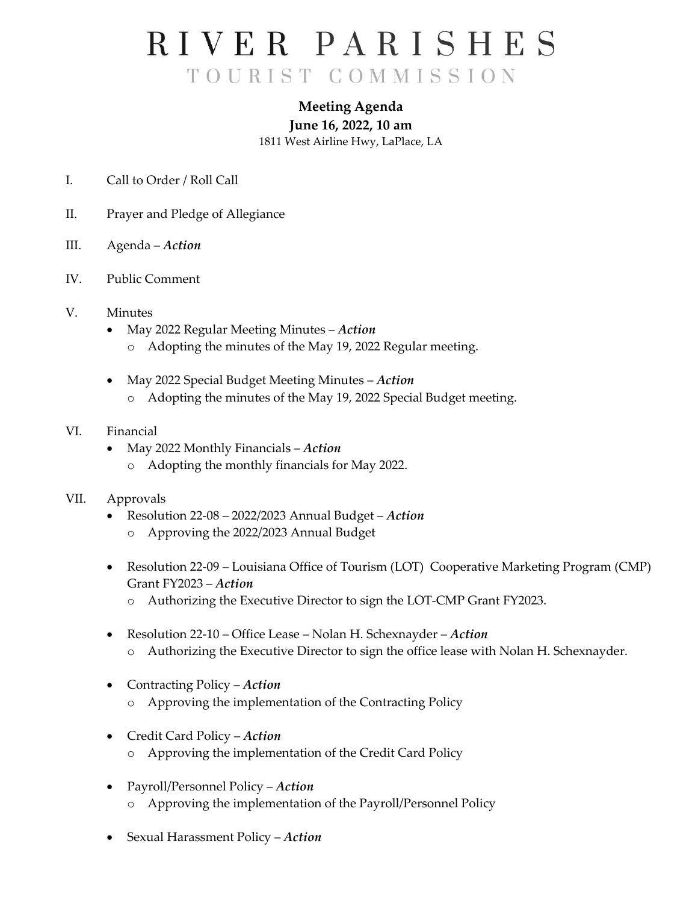## RIVER PARISHES TOURIST COMMISSION

### **Meeting Agenda June 16, 2022, 10 am** 1811 West Airline Hwy, LaPlace, LA

- I. Call to Order / Roll Call
- II. Prayer and Pledge of Allegiance
- III. Agenda *Action*
- IV. Public Comment
- V. Minutes
	- May 2022 Regular Meeting Minutes *Action*
		- o Adopting the minutes of the May 19, 2022 Regular meeting.
	- May 2022 Special Budget Meeting Minutes *Action*
		- o Adopting the minutes of the May 19, 2022 Special Budget meeting.
- VI. Financial
	- May 2022 Monthly Financials *Action* o Adopting the monthly financials for May 2022.

#### VII. Approvals

- Resolution 22-08 2022/2023 Annual Budget *Action*
	- o Approving the 2022/2023 Annual Budget
- Resolution 22-09 Louisiana Office of Tourism (LOT) Cooperative Marketing Program (CMP) Grant FY2023 – *Action*
	- o Authorizing the Executive Director to sign the LOT-CMP Grant FY2023.
- Resolution 22-10 Office Lease Nolan H. Schexnayder *Action* o Authorizing the Executive Director to sign the office lease with Nolan H. Schexnayder.
- Contracting Policy *Action*
	- o Approving the implementation of the Contracting Policy
- Credit Card Policy *Action* o Approving the implementation of the Credit Card Policy
- Payroll/Personnel Policy *Action* o Approving the implementation of the Payroll/Personnel Policy
- Sexual Harassment Policy *Action*